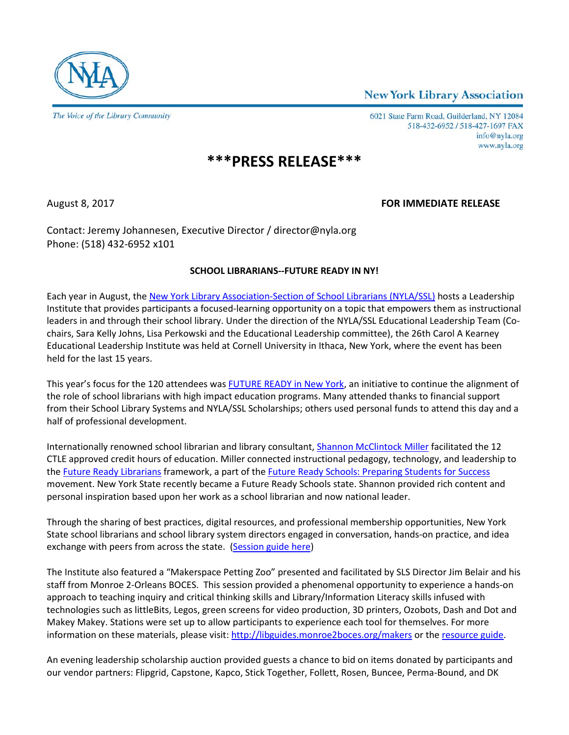**New York Library Association** 



6021 State Farm Road, Guilderland, NY 12084 518-432-6952 / 518-427-1697 FAX info@nyla.org www.nyla.org

## **\*\*\*PRESS RELEASE\*\*\***

## August 8, 2017 **FOR IMMEDIATE RELEASE**

Contact: Jeremy Johannesen, Executive Director / director@nyla.org Phone: (518) 432-6952 x101

## **SCHOOL LIBRARIANS--FUTURE READY IN NY!**

Each year in August, th[e New York Library Association-Section of School Librarians \(NYLA/SSL\)](https://www.nyla.org/max/4DCGI/cms/review.html?Action=CMS_Document&DocID=136&MenuKey=ssl) hosts a Leadership Institute that provides participants a focused-learning opportunity on a topic that empowers them as instructional leaders in and through their school library. Under the direction of the NYLA/SSL Educational Leadership Team (Cochairs, Sara Kelly Johns, Lisa Perkowski and the Educational Leadership committee), the 26th Carol A Kearney Educational Leadership Institute was held at Cornell University in Ithaca, New York, where the event has been held for the last 15 years.

This year's focus for the 120 attendees was [FUTURE READY in New York,](http://futureready.org/) an initiative to continue the alignment of the role of school librarians with high impact education programs. Many attended thanks to financial support from their School Library Systems and NYLA/SSL Scholarships; others used personal funds to attend this day and a half of professional development.

Internationally renowned school librarian and library consultant, [Shannon McClintock Miller](http://vanmeterlibraryvoice.blogspot.com/) facilitated the 12 CTLE approved credit hours of education. Miller connected instructional pedagogy, technology, and leadership to the [Future Ready Librarians](http://vanmeterlibraryvoice.blogspot.com/) framework, a part of th[e Future Ready Schools: Preparing Students for](http://futureready.org/) Success movement. New York State recently became a Future Ready Schools state. Shannon provided rich content and personal inspiration based upon her work as a school librarian and now national leader.

Through the sharing of best practices, digital resources, and professional membership opportunities, New York State school librarians and school library system directors engaged in conversation, hands-on practice, and idea exchange with peers from across the state. [\(Session guide here\)](https://www.smore.com/t6wbc-2017-nyla-ssl-leadership-institute)

The Institute also featured a "Makerspace Petting Zoo" presented and facilitated by SLS Director Jim Belair and his staff from Monroe 2-Orleans BOCES. This session provided a phenomenal opportunity to experience a hands-on approach to teaching inquiry and critical thinking skills and Library/Information Literacy skills infused with technologies such as littleBits, Legos, green screens for video production, 3D printers, Ozobots, Dash and Dot and Makey Makey. Stations were set up to allow participants to experience each tool for themselves. For more information on these materials, please visit:<http://libguides.monroe2boces.org/makers> or th[e resource guide.](http://futurereadyinny.wikispaces.com/file/view/Makerspace%20Stuff.pdf/615656627/Makerspace%20Stuff.pdf)

An evening leadership scholarship auction provided guests a chance to bid on items donated by participants and our vendor partners: Flipgrid, Capstone, Kapco, Stick Together, Follett, Rosen, Buncee, Perma-Bound, and DK